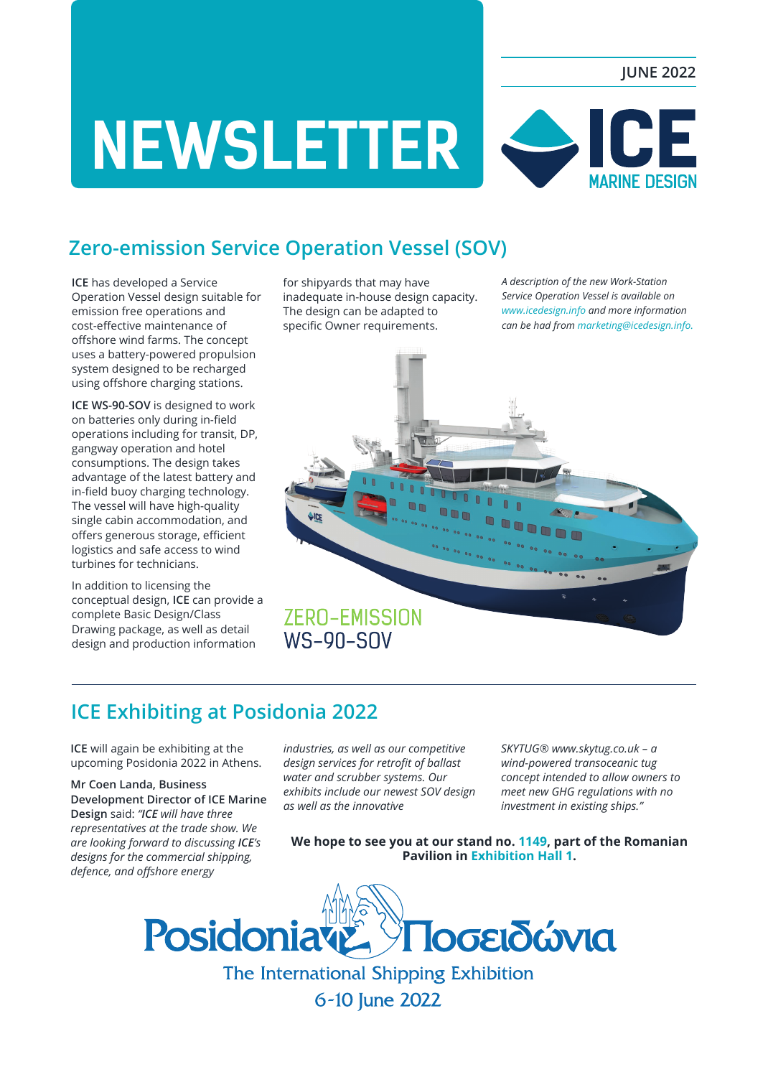#### **JUNE 2022**

# **NEWSLETTER MARINE DESIGN**

## **Zero-emission Service Operation Vessel (SOV)**

**ICE** has developed a Service Operation Vessel design suitable for emission free operations and cost-effective maintenance of offshore wind farms. The concept uses a battery-powered propulsion system designed to be recharged using offshore charging stations.

**ICE WS-90-SOV** is designed to work on batteries only during in-field operations including for transit, DP, gangway operation and hotel consumptions. The design takes advantage of the latest battery and in-field buoy charging technology. The vessel will have high-quality single cabin accommodation, and offers generous storage, efficient logistics and safe access to wind turbines for technicians.

In addition to licensing the conceptual design, **ICE** can provide a complete Basic Design/Class Drawing package, as well as detail design and production information

for shipyards that may have inadequate in-house design capacity. The design can be adapted to specific Owner requirements.

*A description of the new Work-Station Service Operation Vessel is available on www.icedesign.info and more information can be had from marketing@icedesign.info.*



### **ICE Exhibiting at Posidonia 2022**

**ICE** will again be exhibiting at the upcoming Posidonia 2022 in Athens.

**Mr Coen Landa, Business Development Director of ICE Marine Design** said: *"ICE will have three representatives at the trade show. We are looking forward to discussing ICE's designs for the commercial shipping, defence, and offshore energy* 

*industries, as well as our competitive design services for retrofit of ballast water and scrubber systems. Our exhibits include our newest SOV design as well as the innovative* 

 *SKYTUG® www.skytug.co.uk – a wind-powered transoceanic tug concept intended to allow owners to meet new GHG regulations with no investment in existing ships."*

**We hope to see you at our stand no. 1149, part of the Romanian Pavilion in Exhibition Hall 1.**



6-10 June 2022